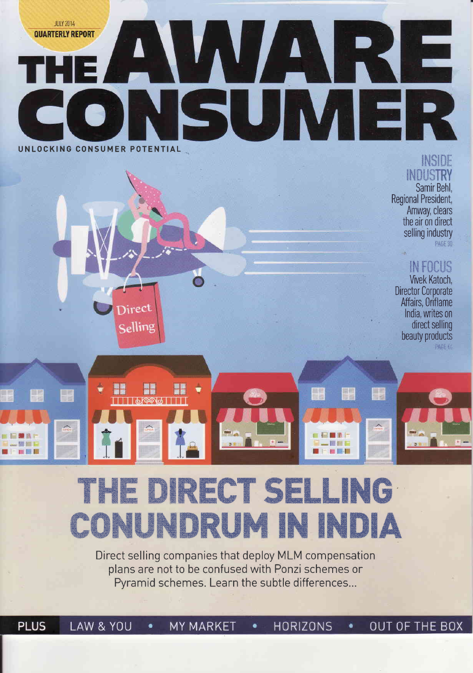

### INSIDE **INDUSTRY**

Samir Behl. Regional President, Amway, clears the air on direct selling industry **PAGE 30** 

## INFOCUS

Vivek Katoch. **Director Corporate** Affairs, Oriflame India, writes on direct selling beauty products PAGE 45

B

EEM

图模型

## THE DIRECT SELI G CONUNDRUM IN IN IIA

Direct

Selling

H

<u>|||||61996|||||</u>

P

Ŧ

EMAP

新村下

图 图 四

Direct selling companies that deploy MLM compensation plans are not to be confused with Ponzi schemes or Pyramid schemes. Learn the subtle differences...

**PLUS** LAW & YOU **MY MARKET OUT OF THE BOX**  $\bullet$ **HORIZONS**  $\bullet$ ٠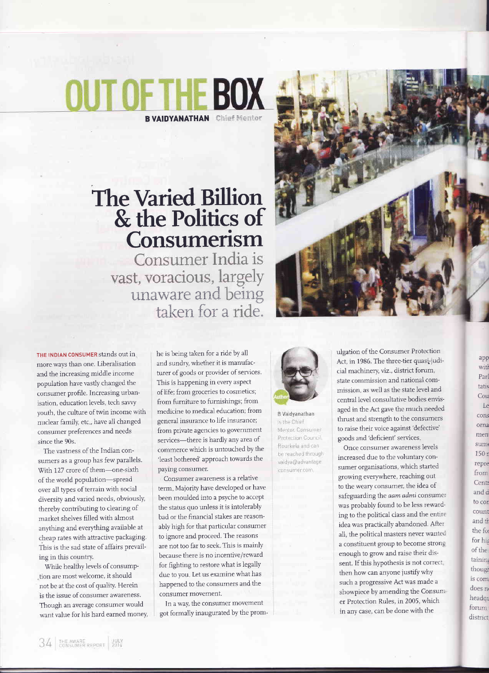# OETHE BOX **B VAIDYANATHAN** Chief Mentor

# **The Varied Billion** & the Politics of Consumerism

Consumer India is vast, voracious, largely unaware and being taken for a ride.



THE INDIAN CONSUMER stands out in more ways than one. Liberalisation and the increasing middle income population have vastly changed the consumer profile. Increasing urbanisation, education levels, tech savvy youth, the culture of twin income with nuclear family, etc., have all changed consumer preferences and needs since the 90s.

The vastness of the Indian consumers as a group has few parallels. With 127 crore of them-one-sixth of the world population-spread over all types of terrain with social diversity and varied needs, obviously, thereby contributing to clearing of market shelves filled with almost anything and everything available at cheap rates with attractive packaging. This is the sad state of affairs prevailing in this country.

While healthy levels of consumption are most welcome, it should not be at the cost of quality. Herein is the issue of consumer awareness. Though an average consumer would want value for his hard earned money, he is being taken for a ride by all and sundry, whether it is manufacturer of goods or provider of services. This is happening in every aspect of life; from groceries to cosmetics; from furniture to furnishings; from medicine to medical education; from general insurance to life insurance; from private agencies to government services-there is hardly any area of commerce which is untouched by the 'least bothered' approach towards the paying consumer.

Consumer awareness is a relative term. Majority have developed or have been moulded into a psyche to accept the status quo unless it is intolerably bad or the financial stakes are reasonably high for that particular consumer to ignore and proceed. The reasons are not too far to seek. This is mainly because there is no incentive/reward for fighting to restore what is legally due to you. Let us examine what has happened to the consumers and the consumer movement.

In a way, the consumer movement got formally inaugurated by the prom-



is the Chief Mentor, Consumer Protection Council Rourkela and can be reached through vaidya@advantage consumer.com.

**B** Vaidvanathan

ulgation of the Consumer Protection Act, in 1986. The three-tier quasi-judicial machinery, viz., district forum, state commission and national commission, as well as the state level and central level consultative bodies envisaged in the Act gave the much needed thrust and strength to the consumers to raise their voice against 'defective' goods and 'deficient' services.

Once consumer awareness levels increased due to the voluntary consumer organisations, which started growing everywhere, reaching out to the weary consumer, the idea of safeguarding the aam admi consumer was probably found to be less rewarding to the political class and the entire idea was practically abandoned. After all, the political masters never wanted a constituent group to become strong enough to grow and raise their dissent. If this hypothesis is not correct then how can anyone justify why such a progressive Act was made a showpiece by amending the Consumer Protection Rules, in 2005, which in any case, can be done with the

app witl Parl tativ Cou Le cons orna men sum 150 r repre from Centr and d to cor count and tr the fo for his of the taining though is com does n headqu forum district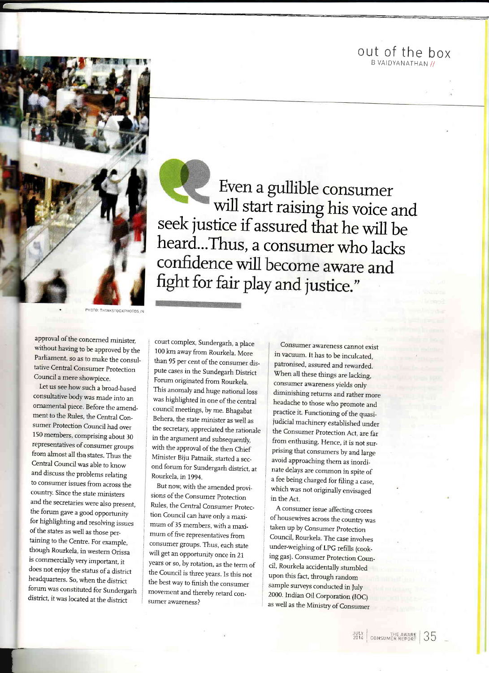out of the box B VAIDYANATHAN //



T

Even a gullible consumer<br>will start raising his voice and seek justice if assured that he will be heard...Thus, a consumer who lacks<br>confidence will become aware and fight for fair play and justice."

**PHOTO: THINKSTOCKPHOTOS.IN** 

approval of the concemed minister, without having to be approved by the Parliament, so as to make the consultative Central Consumer protection Council a mere showpiece.

Let us see how such a broad\_based consultative body was made into an ornamental piece. Before the amend\_ ment to the Rules, the Central Consumer Protection Council had over 150 members, comprising about 30 representatives of consumer groups from almost all the states. Thus the Central Council was able to know and discuss the problems relating to consumer issues from across the country. Since the state ministers and the secretaries were also present, the forum gave a good opportunity for highlighting and resolving issues of the states as well as those pertaining to the Centre. For example, though Rourkela, in westem Orissa is commercially very important, it does not enjoy the status of a district headquarters. So, when the district forum was constituted for Sundergarh district, it was located at the district

f

court complex, Sundergarh, a place 100 km away from Rourkela. More than 95 per cent of the consumer dispute cases in the Sundegarh District Forum originated from Rourkela. This anomaly and huge national loss was highlighted in one of the central council meetings, by me. Bhagabat Behera, the state minister as well as the secretary, appreciated the rationale in the argument and subsequently, with the approval of the then Chief Minister Biju Patnaik, started a sec\_ ond forum for Sundergarh district, at Rourkela, in 1994.

But now, with the amended provisions of the Consumer Protection Rules, the Central Consumer protec\_ : tion Council can have only a maximum of 35 members, with a maximum of five representatives from consumer groups. Thus, each state will get an opportunity once in 21 years or so, by rotation, as the term of : the Council is three years. Is this not the best way to finish the consumer movement and thereby retard consumer awareness?

Consumer awareness cannot exist in vacuum. It has to be inculcated, patronised, assured and rewarded. When all these things are lacking, consumer awareness yields only diminishing retums and rather more headache to those who promote and practice it. Functioning of the quasijudicial machinery established under the Consumer Protection Act, are far from enthusing. Hence, it is not sur\_ prising that consumers by and large avoid approaching them as inordinate delays are common in spite of a fee being charged for filing a case, which was not originally envisaged in the Act.

A consumer issue affecting crores of housewives across the country was taken up by Consumer Protection Council, Rourkela. The case involves under-weighing of LpG refills (cook\_ ing gas). Consumer protection Coun\_ cil, Rourkela accidentally stumbled upon this fact, through random sample surveys conducted in July 2000. lndian Oil Corporation (IOC) as well as the Ministry of Consumer